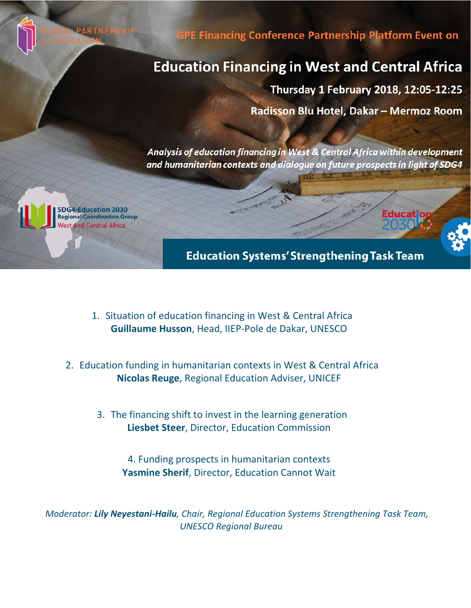

PARTNI

**GPE Financing Conference Partnership Platform Event on** 

# **Education Financing in West and Central Africa**

Thursday 1 February 2018, 12:05-12:25

Educat<sup>-</sup>o

Radisson Blu Hotel, Dakar - Mermoz Room

Analysis of education financing in West & Central Africa within development and humanitarian contexts and dialogue on future prospects in light of SDG4

**"Education financing in West and Central Africa" SDG4-Education 2030 Thursday 1 February 2018, 12:05-12:05-12:05-12:05-12:05-12:05-12:05-12:05-12:05-12:05-12:05-12:05-12:05-12:05-**

**Education Systems' Strengthening Task Team** 

1. Situation of education financing in West & Central Africa **Guillaume Husson**, Head, IIEP-Pole de Dakar, UNESCO

**Radisson Blu Hotel, Dakar – Mermoz Room**

2. Education funding in humanitarian contexts in West & Central Africa **Nicolas Reuge**, Regional Education Adviser, UNICEF

3. The financing shift to invest in the learning generation **Liesbet Steer**, Director, Education Commission

4. Funding prospects in humanitarian contexts **Yasmine Sherif**, Director, Education Cannot Wait

*Moderator: Lily Neyestani-Hailu, Chair, Regional Education Systems Strengthening Task Team, UNESCO Regional Bureau*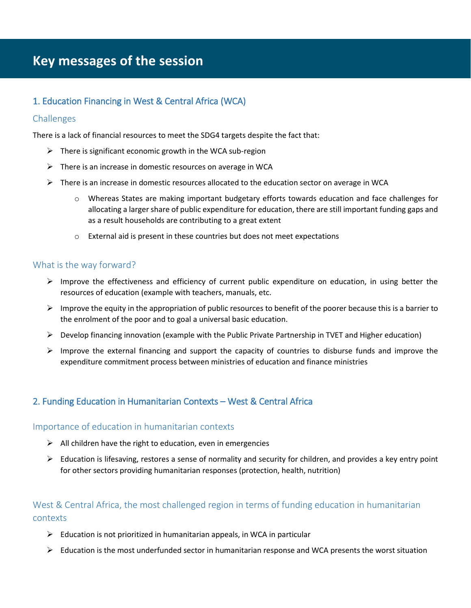# **Key messages of the session**

## 1. Education Financing in West & Central Africa (WCA)

### **Challenges**

There is a lack of financial resources to meet the SDG4 targets despite the fact that:

- $\triangleright$  There is significant economic growth in the WCA sub-region
- $\triangleright$  There is an increase in domestic resources on average in WCA
- $\triangleright$  There is an increase in domestic resources allocated to the education sector on average in WCA
	- o Whereas States are making important budgetary efforts towards education and face challenges for allocating a larger share of public expenditure for education, there are still important funding gaps and as a result households are contributing to a great extent
	- o External aid is present in these countries but does not meet expectations

### What is the way forward?

- $\triangleright$  Improve the effectiveness and efficiency of current public expenditure on education, in using better the resources of education (example with teachers, manuals, etc.
- $\triangleright$  Improve the equity in the appropriation of public resources to benefit of the poorer because this is a barrier to the enrolment of the poor and to goal a universal basic education.
- Develop financing innovation (example with the Public Private Partnership in TVET and Higher education)
- $\triangleright$  Improve the external financing and support the capacity of countries to disburse funds and improve the expenditure commitment process between ministries of education and finance ministries

### 2. Funding Education in Humanitarian Contexts – West & Central Africa

### Importance of education in humanitarian contexts

- $\triangleright$  All children have the right to education, even in emergencies
- $\triangleright$  Education is lifesaving, restores a sense of normality and security for children, and provides a key entry point for other sectors providing humanitarian responses (protection, health, nutrition)

## West & Central Africa, the most challenged region in terms of funding education in humanitarian contexts

- $\triangleright$  Education is not prioritized in humanitarian appeals, in WCA in particular
- $\triangleright$  Education is the most underfunded sector in humanitarian response and WCA presents the worst situation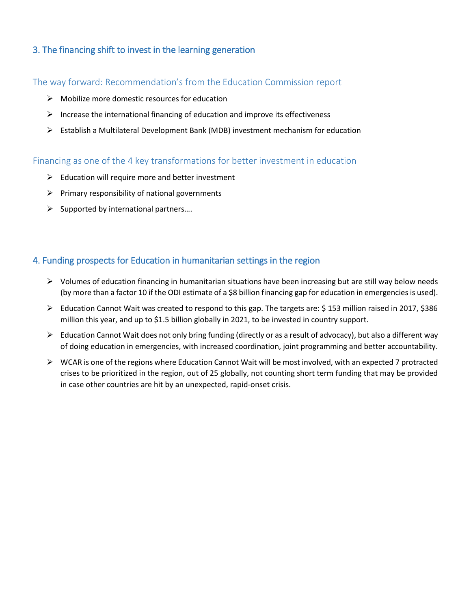## 3. The financing shift to invest in the learning generation

### The way forward: Recommendation's from the Education Commission report

- $\triangleright$  Mobilize more domestic resources for education
- $\triangleright$  Increase the international financing of education and improve its effectiveness
- $\triangleright$  Establish a Multilateral Development Bank (MDB) investment mechanism for education

### Financing as one of the 4 key transformations for better investment in education

- $\triangleright$  Education will require more and better investment
- $\triangleright$  Primary responsibility of national governments
- $\triangleright$  Supported by international partners....

## 4. Funding prospects for Education in humanitarian settings in the region

- $\triangleright$  Volumes of education financing in humanitarian situations have been increasing but are still way below needs (by more than a factor 10 if the ODI estimate of a \$8 billion financing gap for education in emergencies is used).
- Education Cannot Wait was created to respond to this gap. The targets are: \$153 million raised in 2017, \$386 million this year, and up to \$1.5 billion globally in 2021, to be invested in country support.
- $\triangleright$  Education Cannot Wait does not only bring funding (directly or as a result of advocacy), but also a different way of doing education in emergencies, with increased coordination, joint programming and better accountability.
- $\triangleright$  WCAR is one of the regions where Education Cannot Wait will be most involved, with an expected 7 protracted crises to be prioritized in the region, out of 25 globally, not counting short term funding that may be provided in case other countries are hit by an unexpected, rapid-onset crisis.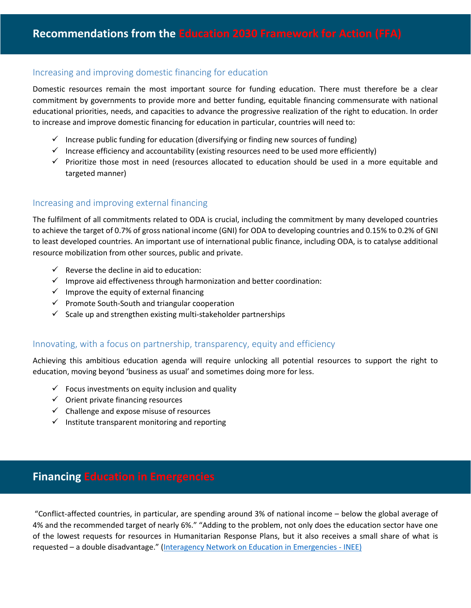### Increasing and improving domestic financing for education

Domestic resources remain the most important source for funding education. There must therefore be a clear commitment by governments to provide more and better funding, equitable financing commensurate with national educational priorities, needs, and capacities to advance the progressive realization of the right to education. In order to increase and improve domestic financing for education in particular, countries will need to:

- $\checkmark$  Increase public funding for education (diversifying or finding new sources of funding)
- $\checkmark$  Increase efficiency and accountability (existing resources need to be used more efficiently)
- $\checkmark$  Prioritize those most in need (resources allocated to education should be used in a more equitable and targeted manner)

### Increasing and improving external financing

The fulfilment of all commitments related to ODA is crucial, including the commitment by many developed countries to achieve the target of 0.7% of gross national income (GNI) for ODA to developing countries and 0.15% to 0.2% of GNI to least developed countries. An important use of international public finance, including ODA, is to catalyse additional resource mobilization from other sources, public and private.

- $\checkmark$  Reverse the decline in aid to education:
- $\checkmark$  Improve aid effectiveness through harmonization and better coordination:
- $\checkmark$  Improve the equity of external financing
- $\checkmark$  Promote South-South and triangular cooperation
- $\checkmark$  Scale up and strengthen existing multi-stakeholder partnerships

### Innovating, with a focus on partnership, transparency, equity and efficiency

Achieving this ambitious education agenda will require unlocking all potential resources to support the right to education, moving beyond 'business as usual' and sometimes doing more for less.

- $\checkmark$  Focus investments on equity inclusion and quality
- $\checkmark$  Orient private financing resources
- $\checkmark$  Challenge and expose misuse of resources
- $\checkmark$  Institute transparent monitoring and reporting

# **Financing Education in Emergencies**

"Conflict-affected countries, in particular, are spending around 3% of national income – below the global average of 4% and the recommended target of nearly 6%." "Adding to the problem, not only does the education sector have one of the lowest requests for resources in Humanitarian Response Plans, but it also receives a small share of what is requested – a double disadvantage." ([Interagency Network on Education in Em](http://www.ineesite.org/en/education-financing)ergencies - INEE)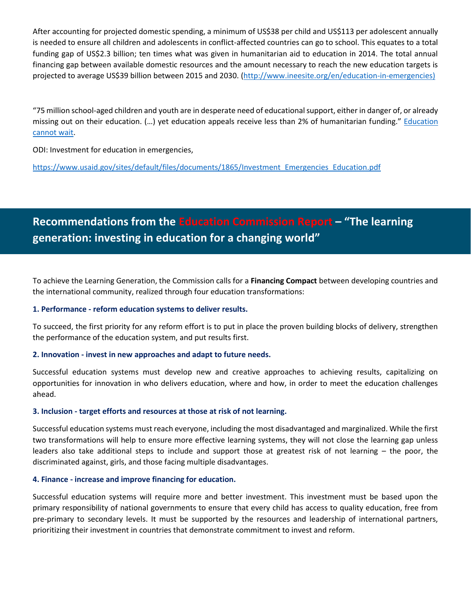After accounting for projected domestic spending, a minimum of US\$38 per child and US\$113 per adolescent annually is needed to ensure all children and adolescents in conflict-affected countries can go to school. This equates to a total funding gap of US\$2.3 billion; ten times what was given in humanitarian aid to education in 2014. The total annual financing gap between available domestic resources and the amount necessary to reach the new education targets is projected to average US\$39 billion between 2015 and 2030. [\(http://www.ineesite.org/en/education-in-emergencies\)](http://www.ineesite.org/en/education-in-emergencies)

"75 million school-aged children and youth are in desperate need of educational support, either in danger of, or already missing out on their education. (...) yet education appeals receive less than 2% of humanitarian funding." Education [cannot wait.](http://www.educationcannotwait.org/)

ODI: Investment for education in emergencies,

[https://www.usaid.gov/sites/default/files/documents/1865/Investment\\_Emergencies\\_Education.pdf](https://www.usaid.gov/sites/default/files/documents/1865/Investment_Emergencies_Education.pdf)

# **Recommendations from the Education Commission Report – "The learning generation: investing in education for a changing world"**

To achieve the Learning Generation, the Commission calls for a **Financing Compact** between developing countries and the international community, realized through four education transformations:

### **1. Performance - reform education systems to deliver results.**

To succeed, the first priority for any reform effort is to put in place the proven building blocks of delivery, strengthen the performance of the education system, and put results first.

### **2. Innovation - invest in new approaches and adapt to future needs.**

Successful education systems must develop new and creative approaches to achieving results, capitalizing on opportunities for innovation in who delivers education, where and how, in order to meet the education challenges ahead.

### **3. Inclusion - target efforts and resources at those at risk of not learning.**

Successful education systems must reach everyone, including the most disadvantaged and marginalized. While the first two transformations will help to ensure more effective learning systems, they will not close the learning gap unless leaders also take additional steps to include and support those at greatest risk of not learning – the poor, the discriminated against, girls, and those facing multiple disadvantages.

### **4. Finance - increase and improve financing for education.**

Successful education systems will require more and better investment. This investment must be based upon the primary responsibility of national governments to ensure that every child has access to quality education, free from pre-primary to secondary levels. It must be supported by the resources and leadership of international partners, prioritizing their investment in countries that demonstrate commitment to invest and reform.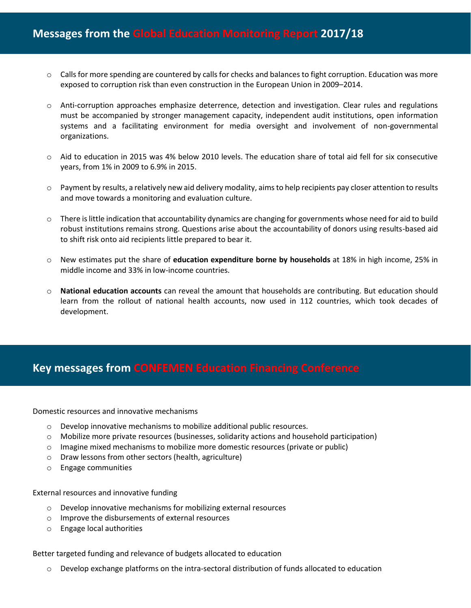# **Messages from the [Global Education Monitoring](http://gem-report-2017.unesco.org/favicon.ico) Report 2017/18**

- $\circ$  Calls for more spending are countered by calls for checks and balances to fight corruption. Education was more exposed to corruption risk than even construction in the European Union in 2009–2014.
- o Anti-corruption approaches emphasize deterrence, detection and investigation. Clear rules and regulations must be accompanied by stronger management capacity, independent audit institutions, open information systems and a facilitating environment for media oversight and involvement of non-governmental organizations.
- o Aid to education in 2015 was 4% below 2010 levels. The education share of total aid fell for six consecutive years, from 1% in 2009 to 6.9% in 2015.
- o Payment by results, a relatively new aid delivery modality, aims to help recipients pay closer attention to results and move towards a monitoring and evaluation culture.
- o There is little indication that accountability dynamics are changing for governments whose need for aid to build robust institutions remains strong. Questions arise about the accountability of donors using results-based aid to shift risk onto aid recipients little prepared to bear it.
- o New estimates put the share of **education expenditure borne by households** at 18% in high income, 25% in middle income and 33% in low-income countries.
- o **National education accounts** can reveal the amount that households are contributing. But education should learn from the rollout of national health accounts, now used in 112 countries, which took decades of development.

# **Key messages from CONFEMEN Education Financing Conference**

Domestic resources and innovative mechanisms

- o Develop innovative mechanisms to mobilize additional public resources.
- $\circ$  Mobilize more private resources (businesses, solidarity actions and household participation)
- o Imagine mixed mechanisms to mobilize more domestic resources (private or public)
- o Draw lessons from other sectors (health, agriculture)
- o Engage communities

External resources and innovative funding

- o Develop innovative mechanisms for mobilizing external resources
- o Improve the disbursements of external resources
- o Engage local authorities

Better targeted funding and relevance of budgets allocated to education

 $\circ$  Develop exchange platforms on the intra-sectoral distribution of funds allocated to education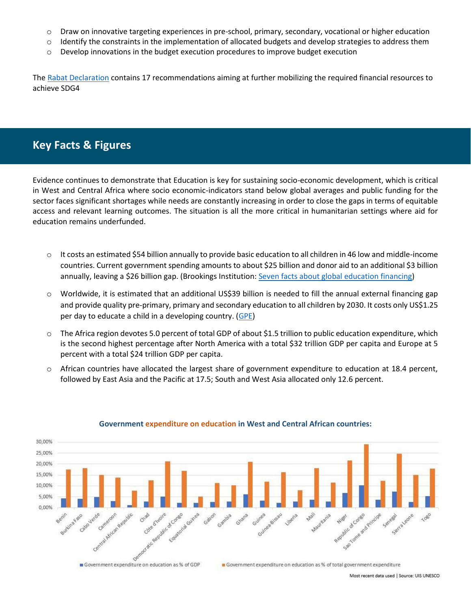- o Draw on innovative targeting experiences in pre-school, primary, secondary, vocational or higher education
- $\circ$  Identify the constraints in the implementation of allocated budgets and develop strategies to address them
- $\circ$  Develop innovations in the budget execution procedures to improve budget execution

Th[e Rabat Declaration](http://www.confemen.org/wp-content/uploads/2018/01/APPEL-DE-RABAT-_finale_20122017.pdf) contains 17 recommendations aiming at further mobilizing the required financial resources to achieve SDG4

# **Key Facts & Figures**

Evidence continues to demonstrate that Education is key for sustaining socio-economic development, which is critical in West and Central Africa where socio economic-indicators stand below global averages and public funding for the sector faces significant shortages while needs are constantly increasing in order to close the gaps in terms of equitable access and relevant learning outcomes. The situation is all the more critical in humanitarian settings where aid for education remains underfunded.

- $\circ$  It costs an estimated \$54 billion annually to provide basic education to all children in 46 low and middle-income countries. Current government spending amounts to about \$25 billion and donor aid to an additional \$3 billion annually, leaving a \$26 billion gap. (Brookings Institution: [Seven facts about global education financing\)](https://www.brookings.edu/blog/education-plus-development/2014/02/20/seven-facts-about-global-education-financing/)
- $\circ$  Worldwide, it is estimated that an additional US\$39 billion is needed to fill the annual external financing gap and provide quality pre-primary, primary and secondary education to all children by 2030. It costs only US\$1.25 per day to educate a child in a developing country. [\(GPE\)](https://www.globalpartnership.org/funding)
- o The Africa region devotes 5.0 percent of total GDP of about \$1.5 trillion to public education expenditure, which is the second highest percentage after North America with a total \$32 trillion GDP per capita and Europe at 5 percent with a total \$24 trillion GDP per capita.
- o African countries have allocated the largest share of government expenditure to education at 18.4 percent, followed by East Asia and the Pacific at 17.5; South and West Asia allocated only 12.6 percent.



#### **Government expenditure on education in West and Central African countries:**

Most recent data used | Source: UIS UNESCO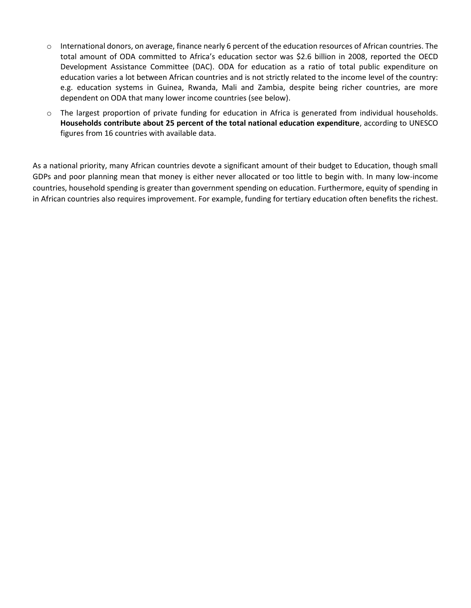- o International donors, on average, finance nearly 6 percent of the education resources of African countries. The total amount of ODA committed to Africa's education sector was \$2.6 billion in 2008, reported the OECD Development Assistance Committee (DAC). ODA for education as a ratio of total public expenditure on education varies a lot between African countries and is not strictly related to the income level of the country: e.g. education systems in Guinea, Rwanda, Mali and Zambia, despite being richer countries, are more dependent on ODA that many lower income countries (see below).
- o The largest proportion of private funding for education in Africa is generated from individual households. **Households contribute about 25 percent of the total national education expenditure**, according to UNESCO figures from 16 countries with available data.

As a national priority, many African countries devote a significant amount of their budget to Education, though small GDPs and poor planning mean that money is either never allocated or too little to begin with. In many low-income countries, household spending is greater than government spending on education. Furthermore, equity of spending in in African countries also requires improvement. For example, funding for tertiary education often benefits the richest.